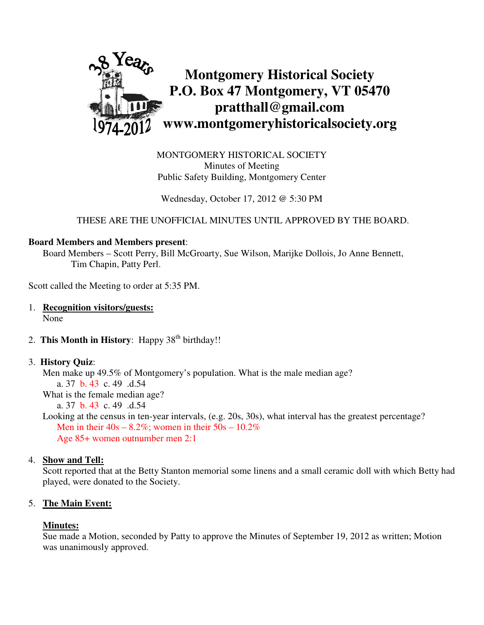

MONTGOMERY HISTORICAL SOCIETY Minutes of Meeting Public Safety Building, Montgomery Center

Wednesday, October 17, 2012 @ 5:30 PM

THESE ARE THE UNOFFICIAL MINUTES UNTIL APPROVED BY THE BOARD.

#### **Board Members and Members present**:

Board Members – Scott Perry, Bill McGroarty, Sue Wilson, Marijke Dollois, Jo Anne Bennett, Tim Chapin, Patty Perl.

Scott called the Meeting to order at 5:35 PM.

- 1. **Recognition visitors/guests:** None
- 2. **This Month in History**: Happy 38<sup>th</sup> birthday!!

#### 3. **History Quiz**:

 Men make up 49.5% of Montgomery's population. What is the male median age? a. 37 b. 43 c. 49 .d.54 What is the female median age? a. 37 b. 43 c. 49 .d.54 Looking at the census in ten-year intervals, (e.g. 20s, 30s), what interval has the greatest percentage? Men in their  $40s - 8.2\%$ ; women in their  $50s - 10.2\%$ 

Age 85+ women outnumber men 2:1

# 4. **Show and Tell:**

 Scott reported that at the Betty Stanton memorial some linens and a small ceramic doll with which Betty had played, were donated to the Society.

# 5. **The Main Event:**

#### **Minutes:**

Sue made a Motion, seconded by Patty to approve the Minutes of September 19, 2012 as written; Motion was unanimously approved.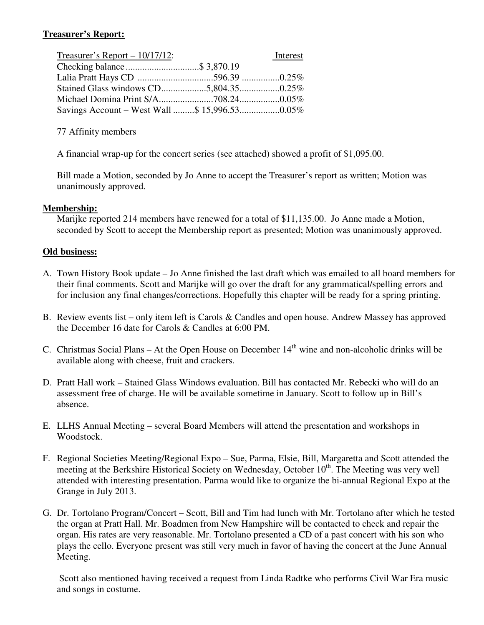# **Treasurer's Report:**

| Treasurer's Report $-10/17/12$ : | Interest |
|----------------------------------|----------|
| Checking balance\$ 3,870.19      |          |
|                                  |          |
|                                  |          |
|                                  |          |
|                                  |          |

77 Affinity members

A financial wrap-up for the concert series (see attached) showed a profit of \$1,095.00.

Bill made a Motion, seconded by Jo Anne to accept the Treasurer's report as written; Motion was unanimously approved.

### **Membership:**

Marijke reported 214 members have renewed for a total of \$11,135.00. Jo Anne made a Motion, seconded by Scott to accept the Membership report as presented; Motion was unanimously approved.

### **Old business:**

- A. Town History Book update Jo Anne finished the last draft which was emailed to all board members for their final comments. Scott and Marijke will go over the draft for any grammatical/spelling errors and for inclusion any final changes/corrections. Hopefully this chapter will be ready for a spring printing.
- B. Review events list only item left is Carols & Candles and open house. Andrew Massey has approved the December 16 date for Carols & Candles at 6:00 PM.
- C. Christmas Social Plans At the Open House on December  $14<sup>th</sup>$  wine and non-alcoholic drinks will be available along with cheese, fruit and crackers.
- D. Pratt Hall work Stained Glass Windows evaluation. Bill has contacted Mr. Rebecki who will do an assessment free of charge. He will be available sometime in January. Scott to follow up in Bill's absence.
- E. LLHS Annual Meeting several Board Members will attend the presentation and workshops in Woodstock.
- F. Regional Societies Meeting/Regional Expo Sue, Parma, Elsie, Bill, Margaretta and Scott attended the meeting at the Berkshire Historical Society on Wednesday, October 10<sup>th</sup>. The Meeting was very well attended with interesting presentation. Parma would like to organize the bi-annual Regional Expo at the Grange in July 2013.
- G. Dr. Tortolano Program/Concert Scott, Bill and Tim had lunch with Mr. Tortolano after which he tested the organ at Pratt Hall. Mr. Boadmen from New Hampshire will be contacted to check and repair the organ. His rates are very reasonable. Mr. Tortolano presented a CD of a past concert with his son who plays the cello. Everyone present was still very much in favor of having the concert at the June Annual Meeting.

 Scott also mentioned having received a request from Linda Radtke who performs Civil War Era music and songs in costume.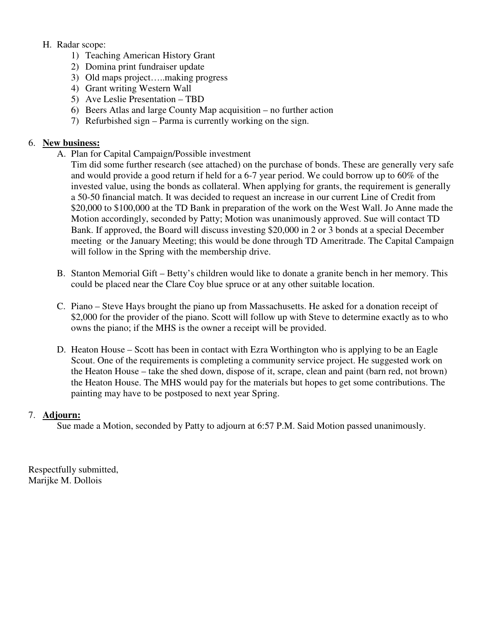# H. Radar scope:

- 1) Teaching American History Grant
- 2) Domina print fundraiser update
- 3) Old maps project…..making progress
- 4) Grant writing Western Wall
- 5) Ave Leslie Presentation TBD
- 6) Beers Atlas and large County Map acquisition no further action
- 7) Refurbished sign Parma is currently working on the sign.

# 6. **New business:**

A. Plan for Capital Campaign/Possible investment

Tim did some further research (see attached) on the purchase of bonds. These are generally very safe and would provide a good return if held for a 6-7 year period. We could borrow up to 60% of the invested value, using the bonds as collateral. When applying for grants, the requirement is generally a 50-50 financial match. It was decided to request an increase in our current Line of Credit from \$20,000 to \$100,000 at the TD Bank in preparation of the work on the West Wall. Jo Anne made the Motion accordingly, seconded by Patty; Motion was unanimously approved. Sue will contact TD Bank. If approved, the Board will discuss investing \$20,000 in 2 or 3 bonds at a special December meeting or the January Meeting; this would be done through TD Ameritrade. The Capital Campaign will follow in the Spring with the membership drive.

- B. Stanton Memorial Gift Betty's children would like to donate a granite bench in her memory. This could be placed near the Clare Coy blue spruce or at any other suitable location.
- C. Piano Steve Hays brought the piano up from Massachusetts. He asked for a donation receipt of \$2,000 for the provider of the piano. Scott will follow up with Steve to determine exactly as to who owns the piano; if the MHS is the owner a receipt will be provided.
- D. Heaton House Scott has been in contact with Ezra Worthington who is applying to be an Eagle Scout. One of the requirements is completing a community service project. He suggested work on the Heaton House – take the shed down, dispose of it, scrape, clean and paint (barn red, not brown) the Heaton House. The MHS would pay for the materials but hopes to get some contributions. The painting may have to be postposed to next year Spring.

# 7. **Adjourn:**

Sue made a Motion, seconded by Patty to adjourn at 6:57 P.M. Said Motion passed unanimously.

Respectfully submitted, Marijke M. Dollois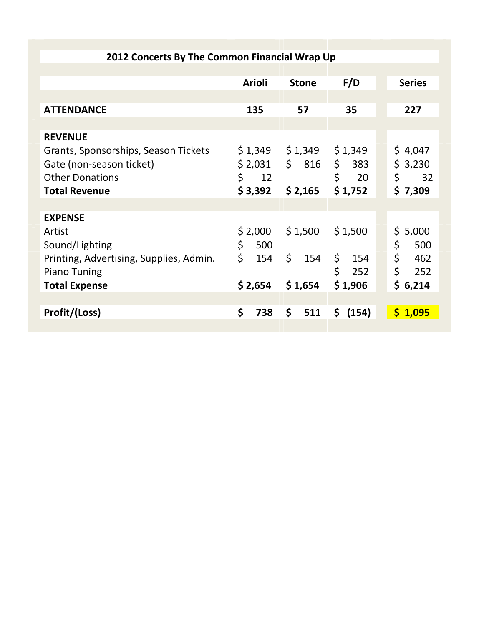| <b>2012 Concerts By The Common Financial Wrap Up</b> |               |              |               |               |  |  |  |
|------------------------------------------------------|---------------|--------------|---------------|---------------|--|--|--|
|                                                      |               |              |               |               |  |  |  |
|                                                      | <b>Arioli</b> | <b>Stone</b> | <u>F/D</u>    | <b>Series</b> |  |  |  |
|                                                      |               |              |               |               |  |  |  |
| <b>ATTENDANCE</b>                                    | 135           | 57           | 35            | 227           |  |  |  |
|                                                      |               |              |               |               |  |  |  |
| <b>REVENUE</b>                                       |               |              |               |               |  |  |  |
| Grants, Sponsorships, Season Tickets                 | \$1,349       | \$1,349      | \$1,349       | \$4,047       |  |  |  |
| Gate (non-season ticket)                             | \$2,031       |              | $$816 \t$383$ | \$3,230       |  |  |  |
| <b>Other Donations</b>                               | \$<br>12      |              | \$<br>20      | \$<br>32      |  |  |  |
| <b>Total Revenue</b>                                 | \$3,392       | \$2,165      | \$1,752       | \$7,309       |  |  |  |
|                                                      |               |              |               |               |  |  |  |
| <b>EXPENSE</b>                                       |               |              |               |               |  |  |  |
| Artist                                               | \$2,000       | \$1,500      | \$1,500       | \$5,000       |  |  |  |
| Sound/Lighting                                       | \$<br>500     |              |               | \$<br>500     |  |  |  |
| Printing, Advertising, Supplies, Admin.              | \$<br>154     | \$<br>154    | \$ 154        | \$<br>462     |  |  |  |
| <b>Piano Tuning</b>                                  |               |              | \$<br>252     | \$<br>252     |  |  |  |
| <b>Total Expense</b>                                 | \$2,654       | \$1,654      | \$1,906       | \$6,214       |  |  |  |
|                                                      |               |              |               |               |  |  |  |
| Profit/(Loss)                                        | \$<br>738     | \$<br>511    | \$ (154)      | \$1,095       |  |  |  |
|                                                      |               |              |               |               |  |  |  |